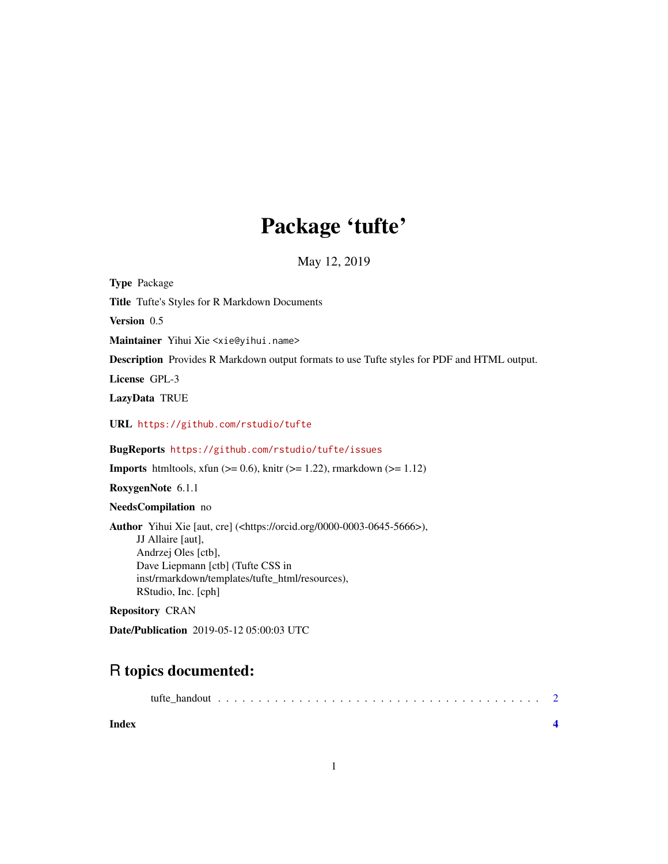## Package 'tufte'

May 12, 2019

<span id="page-0-0"></span>Type Package Title Tufte's Styles for R Markdown Documents Version 0.5 Maintainer Yihui Xie <xie@yihui.name> Description Provides R Markdown output formats to use Tufte styles for PDF and HTML output. License GPL-3 LazyData TRUE URL <https://github.com/rstudio/tufte> BugReports <https://github.com/rstudio/tufte/issues> **Imports** htmltools, xfun  $(>= 0.6)$ , knitr  $(>= 1.22)$ , rmarkdown  $(>= 1.12)$ RoxygenNote 6.1.1 NeedsCompilation no Author Yihui Xie [aut, cre] (<https://orcid.org/0000-0003-0645-5666>), JJ Allaire [aut], Andrzej Oles [ctb], Dave Liepmann [ctb] (Tufte CSS in inst/rmarkdown/templates/tufte\_html/resources), RStudio, Inc. [cph] Repository CRAN

Date/Publication 2019-05-12 05:00:03 UTC

### R topics documented:

|--|--|--|--|--|--|--|--|--|--|--|--|--|--|--|--|--|--|--|--|--|--|--|--|--|--|--|--|--|--|--|--|

**Index** [4](#page-3-0)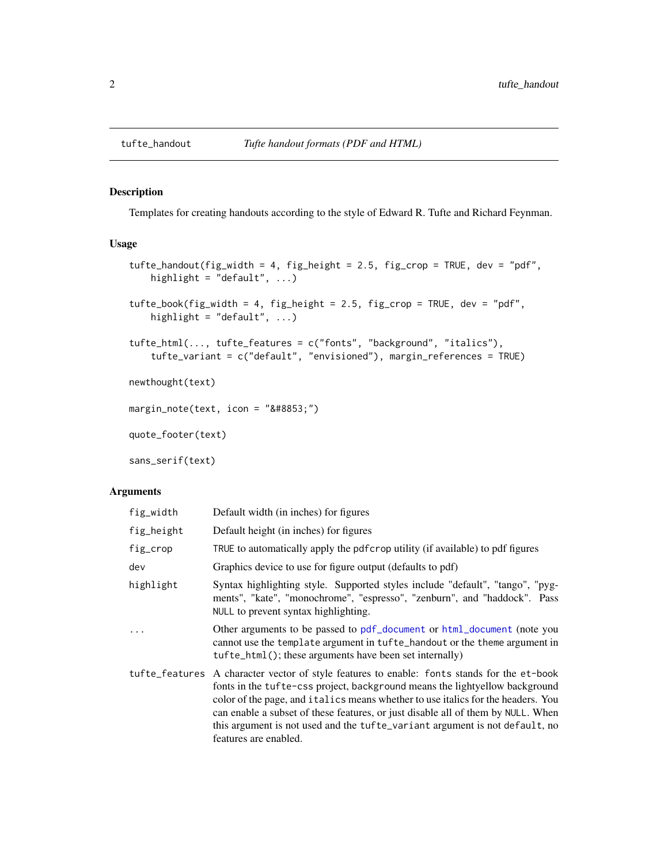#### <span id="page-1-0"></span>Description

Templates for creating handouts according to the style of Edward R. Tufte and Richard Feynman.

#### Usage

```
tufte_handout(fig_width = 4, fig_height = 2.5, fig_crop = TRUE, dev = "pdf",
   highlight = "default", \ldots)
tufte_book(fig_width = 4, fig_height = 2.5, fig_crop = TRUE, dev = "pdf",
   highlight = "default", \ldots)
tufte_html(..., tufte_features = c("fonts", "background", "italics"),
   tufte_variant = c("default", "envisioned"), margin_references = TRUE)
newthought(text)
margin_note(text, icon = "⊕")
quote_footer(text)
sans_serif(text)
```
#### Arguments

| fig_width  | Default width (in inches) for figures                                                                                                                                                                                                                                                                                                                                                                                                                      |
|------------|------------------------------------------------------------------------------------------------------------------------------------------------------------------------------------------------------------------------------------------------------------------------------------------------------------------------------------------------------------------------------------------------------------------------------------------------------------|
| fig_height | Default height (in inches) for figures                                                                                                                                                                                                                                                                                                                                                                                                                     |
| fig_crop   | TRUE to automatically apply the pdf crop utility (if available) to pdf figures                                                                                                                                                                                                                                                                                                                                                                             |
| dev        | Graphics device to use for figure output (defaults to pdf)                                                                                                                                                                                                                                                                                                                                                                                                 |
| highlight  | Syntax highlighting style. Supported styles include "default", "tango", "pyg-<br>ments", "kate", "monochrome", "espresso", "zenburn", and "haddock". Pass<br>NULL to prevent syntax highlighting.                                                                                                                                                                                                                                                          |
| $\ddots$   | Other arguments to be passed to pdf_document or html_document (note you<br>cannot use the template argument in tufte_handout or the theme argument in<br>tufte_html(); these arguments have been set internally)                                                                                                                                                                                                                                           |
|            | tufte_features A character vector of style features to enable: fonts stands for the et-book<br>fonts in the tufte-css project, background means the lightyellow background<br>color of the page, and italics means whether to use italics for the headers. You<br>can enable a subset of these features, or just disable all of them by NULL. When<br>this argument is not used and the tufte_variant argument is not default, no<br>features are enabled. |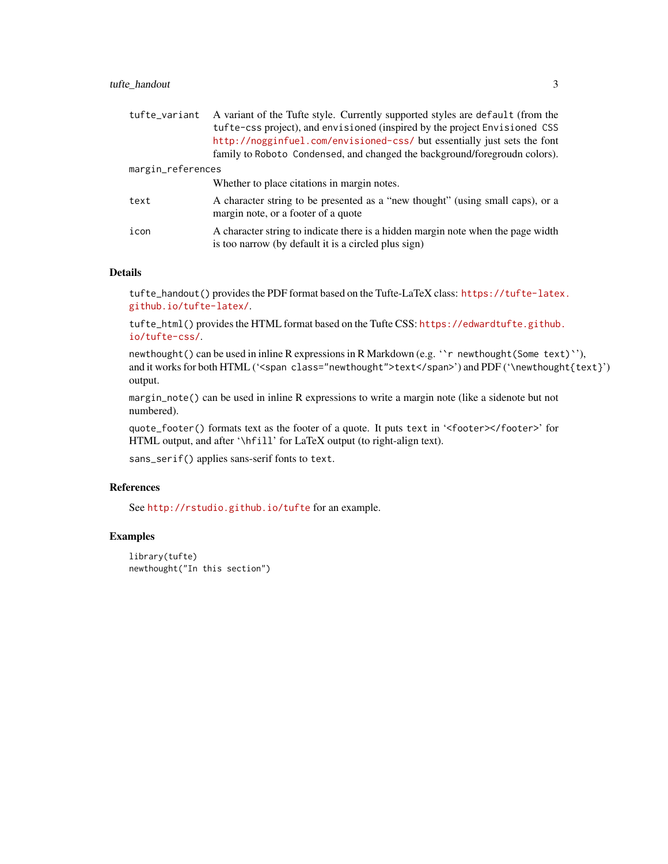#### tufte\_handout 3

| tufte_variant     | A variant of the Tufte style. Currently supported styles are default (from the<br>tufte-css project), and envisioned (inspired by the project Envisioned CSS<br>http://nogginfuel.com/envisioned-css/ but essentially just sets the font<br>family to Roboto Condensed, and changed the background/foregroudn colors). |
|-------------------|------------------------------------------------------------------------------------------------------------------------------------------------------------------------------------------------------------------------------------------------------------------------------------------------------------------------|
| margin_references |                                                                                                                                                                                                                                                                                                                        |
|                   | Whether to place citations in margin notes.                                                                                                                                                                                                                                                                            |
| text              | A character string to be presented as a "new thought" (using small caps), or a<br>margin note, or a footer of a quote                                                                                                                                                                                                  |
| icon              | A character string to indicate there is a hidden margin note when the page width<br>is too narrow (by default it is a circled plus sign)                                                                                                                                                                               |

#### Details

tufte\_handout() provides the PDF format based on the Tufte-LaTeX class: [https://tufte-late](https://tufte-latex.github.io/tufte-latex/)x. [github.io/tufte-latex/](https://tufte-latex.github.io/tufte-latex/).

tufte\_html() provides the HTML format based on the Tufte CSS: [https://edwardtufte.github](https://edwardtufte.github.io/tufte-css/). [io/tufte-css/](https://edwardtufte.github.io/tufte-css/).

newthought() can be used in inline R expressions in R Markdown (e.g. "r newthought(Some text)"), and it works for both HTML ('<span class="newthought">text</span>') and PDF ('\newthought{text}') output.

margin\_note() can be used in inline R expressions to write a margin note (like a sidenote but not numbered).

quote\_footer() formats text as the footer of a quote. It puts text in '<footer></footer>' for HTML output, and after '\hfill' for LaTeX output (to right-align text).

sans\_serif() applies sans-serif fonts to text.

#### References

See <http://rstudio.github.io/tufte> for an example.

#### Examples

```
library(tufte)
newthought("In this section")
```